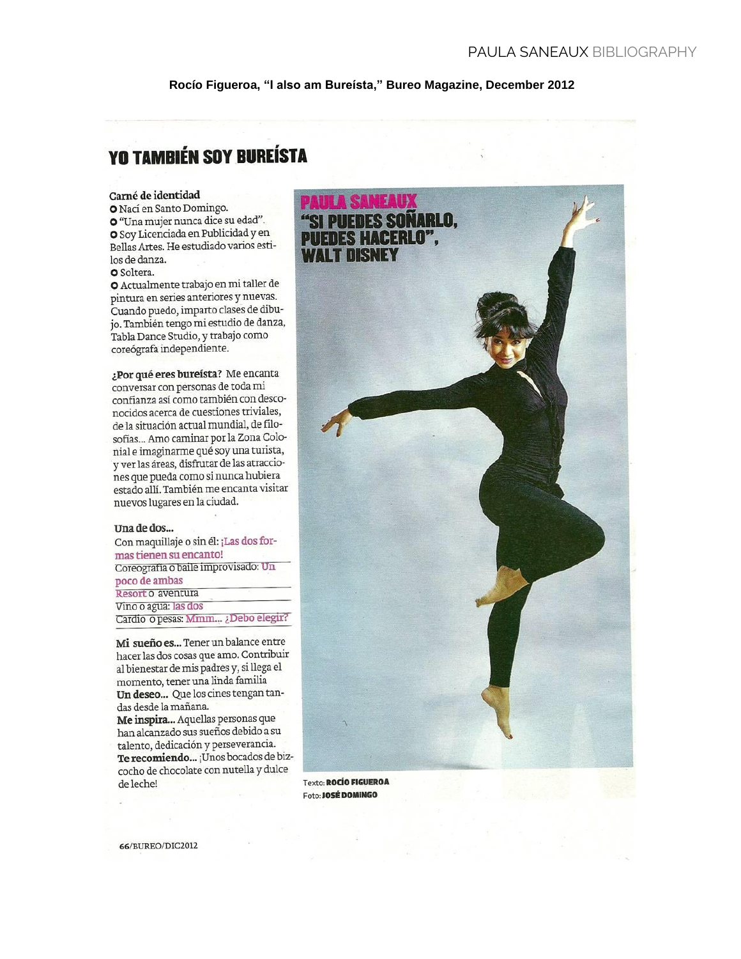Rocío Figueroa, "I also am Bureísta," Bureo Magazine, December 2012

# **YO TAMBIÉN SOY BUREÍSTA**

### Carné de identidad

O Nací en Santo Domingo. · "Una mujer nunca dice su edad". O Soy Licenciada en Publicidad y en Bellas Artes. He estudiado varios estilos de danza. **o** Soltera.

O Actualmente trabajo en mi taller de pintura en series anteriores y nuevas. Cuando puedo, imparto clases de dibujo. También tengo mi estudio de danza, Tabla Dance Studio, y trabajo como coreógrafa independiente.

¿Por qué eres bureísta? Me encanta conversar con personas de toda mi confianza así como también con desconocidos acerca de cuestiones triviales, de la situación actual mundial, de filosofías... Amo caminar por la Zona Colonial e imaginarme qué soy una turista, y ver las áreas, disfrutar de las atracciones que pueda como si nunca hubiera estado allí. También me encanta visitar nuevos lugares en la ciudad.

#### Una de dos...

Con maquillaje o sin él: ¡Las dos formas tienen su encanto! Coreografía o baile improvisado: Un poco de ambas Resort o aventura Vino o agua: las dos Cardio o pesas: Mmm... ¿Debo elegir?

Mi sueño es... Tener un balance entre hacer las dos cosas que amo. Contribuir al bienestar de mis padres y, si llega el momento, tener una linda familia Un deseo... Que los cines tengan tandas desde la mañana.

Me inspira... Aquellas personas que han alcanzado sus sueños debido a su talento, dedicación y perseverancia. Te recomiendo... ¡Unos bocados de bizcocho de chocolate con nutella y dulce de leche!



Texto: ROCÍO FIGUEROA Foto: JOSÉ DOMINGO

66/BUREO/DIC2012